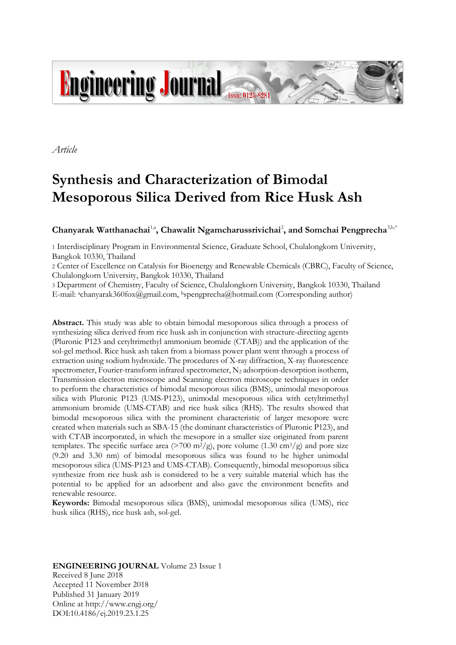

*Article*

# **Synthesis and Characterization of Bimodal Mesoporous Silica Derived from Rice Husk Ash**

# $\mathbf{Chanyarak}\text{ Watthanachal}^{1,a}, \text{Chawalit}\text{ Ngamcharussrivichai}^{2}, \text{and}\text{ Somchai}\text{ Pengprecha}^{3,b,*}$

1 Interdisciplinary Program in Environmental Science, Graduate School, Chulalongkorn University, Bangkok 10330, Thailand

2 Center of Excellence on Catalysis for Bioenergy and Renewable Chemicals (CBRC), Faculty of Science, Chulalongkorn University, Bangkok 10330, Thailand

3 Department of Chemistry, Faculty of Science, Chulalongkorn University, Bangkok 10330, Thailand E-mail: <sup>a</sup>chanyarak360fox@gmail.com, <sup>b</sup>spengprecha@hotmail.com (Corresponding author)

**Abstract.** This study was able to obtain bimodal mesoporous silica through a process of synthesizing silica derived from rice husk ash in conjunction with structure-directing agents (Pluronic P123 and cetyltrimethyl ammonium bromide (CTAB)) and the application of the sol-gel method. Rice husk ash taken from a biomass power plant went through a process of extraction using sodium hydroxide. The procedures of X-ray diffraction, X-ray fluorescence spectrometer, Fourier-transform infrared spectrometer, N<sub>2</sub> adsorption-desorption isotherm, Transmission electron microscope and Scanning electron microscope techniques in order to perform the characteristics of bimodal mesoporous silica (BMS), unimodal mesoporous silica with Pluronic P123 (UMS-P123), unimodal mesoporous silica with cetyltrimethyl ammonium bromide (UMS-CTAB) and rice husk silica (RHS). The results showed that bimodal mesoporous silica with the prominent characteristic of larger mesopore were created when materials such as SBA-15 (the dominant characteristics of Pluronic P123), and with CTAB incorporated, in which the mesopore in a smaller size originated from parent templates. The specific surface area ( $>700$  m<sup>2</sup>/g), pore volume (1.30 cm<sup>3</sup>/g) and pore size (9.20 and 3.30 nm) of bimodal mesoporous silica was found to be higher unimodal mesoporous silica (UMS-P123 and UMS-CTAB). Consequently, bimodal mesoporous silica synthesize from rice husk ash is considered to be a very suitable material which has the potential to be applied for an adsorbent and also gave the environment benefits and renewable resource.

**Keywords:** Bimodal mesoporous silica (BMS), unimodal mesoporous silica (UMS), rice husk silica (RHS), rice husk ash, sol-gel.

**ENGINEERING JOURNAL** Volume 23 Issue 1 Received 8 June 2018 Accepted 11 November 2018 Published 31 January 2019 Online at http://www.engj.org/ DOI:10.4186/ej.2019.23.1.25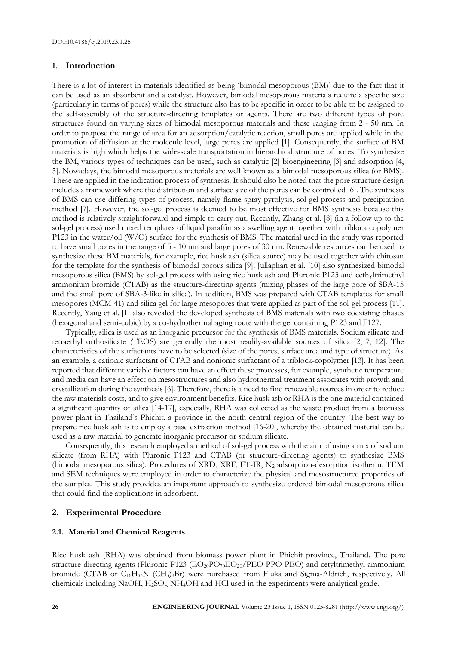## **1. Introduction**

There is a lot of interest in materials identified as being 'bimodal mesoporous (BM)' due to the fact that it can be used as an absorbent and a catalyst. However, bimodal mesoporous materials require a specific size (particularly in terms of pores) while the structure also has to be specific in order to be able to be assigned to the self-assembly of the structure-directing templates or agents. There are two different types of pore structures found on varying sizes of bimodal mesoporous materials and these ranging from 2 - 50 nm. In order to propose the range of area for an adsorption/catalytic reaction, small pores are applied while in the promotion of diffusion at the molecule level, large pores are applied [1]. Consequently, the surface of BM materials is high which helps the wide-scale transportation in hierarchical structure of pores. To synthesize the BM, various types of techniques can be used, such as catalytic [2] bioengineering [3] and adsorption [4, 5]. Nowadays, the bimodal mesoporous materials are well known as a bimodal mesoporous silica (or BMS). These are applied in the indication process of synthesis. It should also be noted that the pore structure design includes a framework where the distribution and surface size of the pores can be controlled [6]. The synthesis of BMS can use differing types of process, namely flame-spray pyrolysis, sol-gel process and precipitation method [7]. However, the sol-gel process is deemed to be most effective for BMS synthesis because this method is relatively straightforward and simple to carry out. Recently, Zhang et al. [8] (in a follow up to the sol-gel process) used mixed templates of liquid paraffin as a swelling agent together with triblock copolymer P123 in the water/oil (W/O) surface for the synthesis of BMS. The material used in the study was reported to have small pores in the range of 5 - 10 nm and large pores of 30 nm. Renewable resources can be used to synthesize these BM materials, for example, rice husk ash (silica source) may be used together with chitosan for the template for the synthesis of bimodal porous silica [9]. Jullaphan et al. [10] also synthesized bimodal mesoporous silica (BMS) by sol-gel process with using rice husk ash and Pluronic P123 and cethyltrimethyl ammonium bromide (CTAB) as the structure-directing agents (mixing phases of the large pore of SBA-15 and the small pore of SBA-3-like in silica). In addition, BMS was prepared with CTAB templates for small mesopores (MCM-41) and silica gel for large mesopores that were applied as part of the sol-gel process [11]. Recently, Yang et al. [1] also revealed the developed synthesis of BMS materials with two coexisting phases (hexagonal and semi-cubic) by a co-hydrothermal aging route with the gel containing P123 and F127.

Typically, silica is used as an inorganic precursor for the synthesis of BMS materials. Sodium silicate and tetraethyl orthosilicate (TEOS) are generally the most readily-available sources of silica [2, 7, 12]. The characteristics of the surfactants have to be selected (size of the pores, surface area and type of structure). As an example, a cationic surfactant of CTAB and nonionic surfactant of a triblock-copolymer [13]. It has been reported that different variable factors can have an effect these processes, for example, synthetic temperature and media can have an effect on mesostructures and also hydrothermal treatment associates with growth and crystallization during the synthesis [6]. Therefore, there is a need to find renewable sources in order to reduce the raw materials costs, and to give environment benefits. Rice husk ash or RHA is the one material contained a significant quantity of silica [14-17], especially, RHA was collected as the waste product from a biomass power plant in Thailand's Phichit, a province in the north-central region of the country. The best way to prepare rice husk ash is to employ a base extraction method [16-20], whereby the obtained material can be used as a raw material to generate inorganic precursor or sodium silicate.

Consequently, this research employed a method of sol-gel process with the aim of using a mix of sodium silicate (from RHA) with Pluronic P123 and CTAB (or structure-directing agents) to synthesize BMS (bimodal mesoporous silica). Procedures of XRD, XRF, FT-IR, N<sup>2</sup> adsorption-desorption isotherm, TEM and SEM techniques were employed in order to characterize the physical and mesostructured properties of the samples. This study provides an important approach to synthesize ordered bimodal mesoporous silica that could find the applications in adsorbent.

# **2. Experimental Procedure**

# **2.1. Material and Chemical Reagents**

Rice husk ash (RHA) was obtained from biomass power plant in Phichit province, Thailand. The pore structure-directing agents (Pluronic P123  $(EO_{20}PO_{70}EO_{20}/PEO-PPO-PEO)$  and cetyltrimethyl ammonium bromide (CTAB or C16H33N (CH3)3Br) were purchased from Fluka and Sigma-Aldrich, respectively. All chemicals including NaOH, H2SO4, NH4OH and HCl used in the experiments were analytical grade.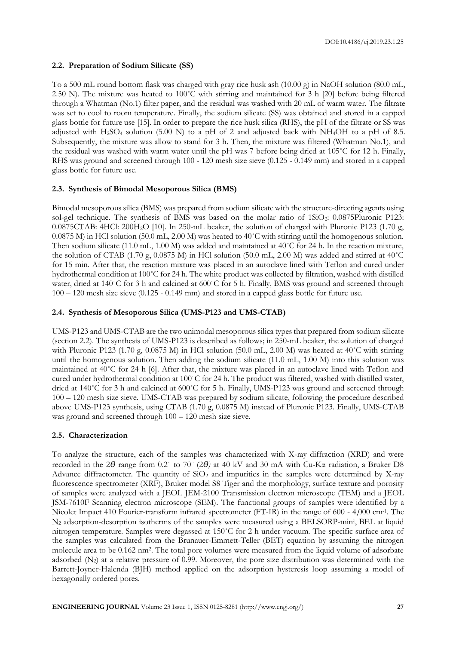## **2.2. Preparation of Sodium Silicate (SS)**

To a 500 mL round bottom flask was charged with gray rice husk ash (10.00 g) in NaOH solution (80.0 mL, 2.50 N). The mixture was heated to 100˚C with stirring and maintained for 3 h [20] before being filtered through a Whatman (No.1) filter paper, and the residual was washed with 20 mL of warm water. The filtrate was set to cool to room temperature. Finally, the sodium silicate (SS) was obtained and stored in a capped glass bottle for future use [15]. In order to prepare the rice husk silica (RHS), the pH of the filtrate or SS was adjusted with  $H_2SO_4$  solution (5.00 N) to a pH of 2 and adjusted back with NH<sub>4</sub>OH to a pH of 8.5. Subsequently, the mixture was allow to stand for 3 h. Then, the mixture was filtered (Whatman No.1), and the residual was washed with warm water until the pH was 7 before being dried at 105˚C for 12 h. Finally, RHS was ground and screened through 100 - 120 mesh size sieve (0.125 - 0.149 mm) and stored in a capped glass bottle for future use.

## **2.3. Synthesis of Bimodal Mesoporous Silica (BMS)**

Bimodal mesoporous silica (BMS) was prepared from sodium silicate with the structure-directing agents using sol-gel technique. The synthesis of BMS was based on the molar ratio of 1SiO2: 0.0875Pluronic P123:  $0.0875$ CTAB: 4HCl: 200H<sub>2</sub>O [10]. In 250-mL beaker, the solution of charged with Pluronic P123 (1.70 g, 0.0875 M) in HCl solution (50.0 mL, 2.00 M) was heated to 40˚C with stirring until the homogenous solution. Then sodium silicate (11.0 mL, 1.00 M) was added and maintained at 40°C for 24 h. In the reaction mixture, the solution of CTAB (1.70 g, 0.0875 M) in HCl solution (50.0 mL, 2.00 M) was added and stirred at 40˚C for 15 min. After that, the reaction mixture was placed in an autoclave lined with Teflon and cured under hydrothermal condition at 100˚C for 24 h. The white product was collected by filtration, washed with distilled water, dried at 140°C for 3 h and calcined at 600°C for 5 h. Finally, BMS was ground and screened through  $100 - 120$  mesh size sieve  $(0.125 - 0.149$  mm) and stored in a capped glass bottle for future use.

## **2.4. Synthesis of Mesoporous Silica (UMS-P123 and UMS-CTAB)**

UMS-P123 and UMS-CTAB are the two unimodal mesoporous silica types that prepared from sodium silicate (section 2.2). The synthesis of UMS-P123 is described as follows; in 250-mL beaker, the solution of charged with Pluronic P123 (1.70 g, 0.0875 M) in HCl solution (50.0 mL, 2.00 M) was heated at 40˚C with stirring until the homogenous solution. Then adding the sodium silicate (11.0 mL, 1.00 M) into this solution was maintained at 40˚C for 24 h [6]. After that, the mixture was placed in an autoclave lined with Teflon and cured under hydrothermal condition at 100˚C for 24 h. The product was filtered, washed with distilled water, dried at 140°C for 3 h and calcined at 600°C for 5 h. Finally, UMS-P123 was ground and screened through 100 – 120 mesh size sieve. UMS-CTAB was prepared by sodium silicate, following the procedure described above UMS-P123 synthesis, using CTAB (1.70 g, 0.0875 M) instead of Pluronic P123. Finally, UMS-CTAB was ground and screened through  $100 - 120$  mesh size sieve.

## **2.5. Characterization**

To analyze the structure, each of the samples was characterized with X-ray diffraction (XRD) and were recorded in the 2*Ө* range from 0.2˚ to 70˚ (2*Ө)* at 40 kV and 30 mA with Cu-Kα radiation, a Bruker D8 Advance diffractometer. The quantity of  $SiO<sub>2</sub>$  and impurities in the samples were determined by X-ray fluorescence spectrometer (XRF), Bruker model S8 Tiger and the morphology, surface texture and porosity of samples were analyzed with a JEOL JEM-2100 Transmission electron microscope (TEM) and a JEOL JSM-7610F Scanning electron microscope (SEM). The functional groups of samples were identified by a Nicolet Impact 410 Fourier-transform infrared spectrometer (FT-IR) in the range of 600 - 4,000 cm-1 . The N<sup>2</sup> adsorption-desorption isotherms of the samples were measured using a BELSORP-mini, BEL at liquid nitrogen temperature. Samples were degassed at 150˚C for 2 h under vacuum. The specific surface area of the samples was calculated from the Brunauer-Emmett-Teller (BET) equation by assuming the nitrogen molecule area to be 0.162 nm<sup>2</sup> . The total pore volumes were measured from the liquid volume of adsorbate adsorbed  $(N_2)$  at a relative pressure of 0.99. Moreover, the pore size distribution was determined with the Barrett-Joyner-Halenda (BJH) method applied on the adsorption hysteresis loop assuming a model of hexagonally ordered pores.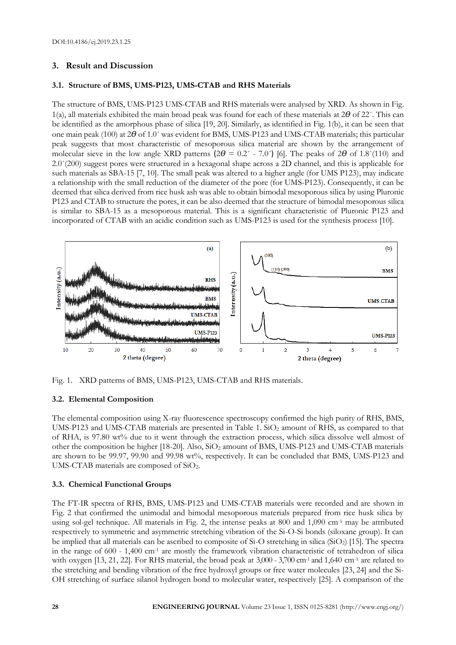# **3. Result and Discussion**

## **3.1. Structure of BMS, UMS-P123, UMS-CTAB and RHS Materials**

The structure of BMS, UMS-P123 UMS-CTAB and RHS materials were analysed by XRD. As shown in Fig. 1(a), all materials exhibited the main broad peak was found for each of these materials at 2*Ө* of 22˚. This can be identified as the amorphous phase of silica [19, 20]. Similarly, as identified in Fig. 1(b), it can be seen that one main peak (100) at 2*Ө* of 1.0˚ was evident for BMS, UMS-P123 and UMS-CTAB materials; this particular peak suggests that most characteristic of mesoporous silica material are shown by the arrangement of molecular sieve in the low angle XRD patterns  $(2\theta = 0.2^{\circ} - 7.0^{\circ})$  [6]. The peaks of 2 $\theta$  of 1.8°(110) and 2.0˚(200) suggest pores were structured in a hexagonal shape across a 2D channel, and this is applicable for such materials as SBA-15 [7, 10]. The small peak was altered to a higher angle (for UMS P123), may indicate a relationship with the small reduction of the diameter of the pore (for UMS-P123). Consequently, it can be deemed that silica derived from rice husk ash was able to obtain bimodal mesoporous silica by using Pluronic P123 and CTAB to structure the pores, it can be also deemed that the structure of bimodal mesoporous silica is similar to SBA-15 as a mesoporous material. This is a significant characteristic of Pluronic P123 and incorporated of CTAB with an acidic condition such as UMS-P123 is used for the synthesis process [10].



Fig. 1. XRD patterns of BMS, UMS-P123, UMS-CTAB and RHS materials.

# **3.2. Elemental Composition**

The elemental composition using X-ray fluorescence spectroscopy confirmed the high purity of RHS, BMS, UMS-P123 and UMS-CTAB materials are presented in Table 1.  $SiO<sub>2</sub>$  amount of RHS, as compared to that of RHA, is 97.80 wt% due to it went through the extraction process, which silica dissolve well almost of other the composition be higher [18-20]. Also, SiO<sup>2</sup> amount of BMS, UMS-P123 and UMS-CTAB materials are shown to be 99.97, 99.90 and 99.98 wt%, respectively. It can be concluded that BMS, UMS-P123 and UMS-CTAB materials are composed of  $SiO<sub>2</sub>$ .

# **3.3. Chemical Functional Groups**

The FT-IR spectra of RHS, BMS, UMS-P123 and UMS-CTAB materials were recorded and are shown in Fig. 2 that confirmed the unimodal and bimodal mesoporous materials prepared from rice husk silica by using sol-gel technique. All materials in Fig. 2, the intense peaks at 800 and 1,090 cm<sup>-1</sup> may be attributed respectively to symmetric and asymmetric stretching vibration of the Si-O-Si bonds (siloxane group). It can be implied that all materials can be ascribed to composite of Si-O stretching in silica (SiO<sub>2</sub>) [15]. The spectra in the range of 600 - 1,400 cm<sup>-1</sup> are mostly the framework vibration characteristic of tetrahedron of silica with oxygen [13, 21, 22]. For RHS material, the broad peak at  $3,000 - 3,700$  cm<sup>-1</sup> and  $1,640$  cm<sup>-1</sup> are related to the stretching and bending vibration of the free hydroxyl groups or free water molecules [23, 24] and the Si-OH stretching of surface silanol hydrogen bond to molecular water, respectively [25]. A comparison of the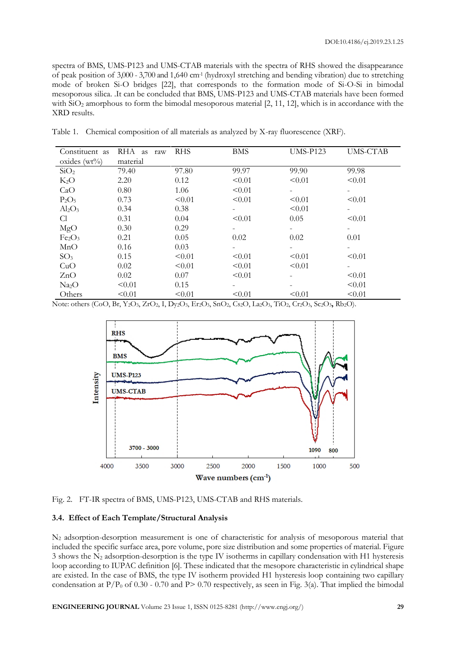spectra of BMS, UMS-P123 and UMS-CTAB materials with the spectra of RHS showed the disappearance of peak position of 3,000 - 3,700 and 1,640 cm<sup>-1</sup> (hydroxyl stretching and bending vibration) due to stretching mode of broken Si-O bridges [22], that corresponds to the formation mode of Si-O-Si in bimodal mesoporous silica. .It can be concluded that BMS, UMS-P123 and UMS-CTAB materials have been formed with  $SiO<sub>2</sub>$  amorphous to form the bimodal mesoporous material [2, 11, 12], which is in accordance with the XRD results.

| Constituent as<br>oxides $(wt\%)$ | RHA as<br>raw<br>material | <b>RHS</b> | <b>BMS</b>               | <b>UMS-P123</b> | <b>UMS-CTAB</b>          |
|-----------------------------------|---------------------------|------------|--------------------------|-----------------|--------------------------|
| SiO <sub>2</sub>                  | 79.40                     | 97.80      | 99.97                    | 99.90           | 99.98                    |
| K <sub>2</sub> O                  | 2.20                      | 0.12       | < 0.01                   | < 0.01          | < 0.01                   |
| CaO                               | 0.80                      | 1.06       | < 0.01                   |                 | $\overline{\phantom{0}}$ |
| $P_2O_5$                          | 0.73                      | < 0.01     | < 0.01                   | < 0.01          | < 0.01                   |
| $\text{Al}_2\text{O}_3$           | 0.34                      | 0.38       |                          | < 0.01          | $\equiv$                 |
| <b>Cl</b>                         | 0.31                      | 0.04       | < 0.01                   | 0.05            | < 0.01                   |
| MgO                               | 0.30                      | 0.29       |                          |                 | $\overline{\phantom{0}}$ |
| Fe <sub>2</sub> O <sub>3</sub>    | 0.21                      | 0.05       | 0.02                     | 0.02            | 0.01                     |
| MnO                               | 0.16                      | 0.03       | $\overline{\phantom{a}}$ | Ξ.              | $\sim$                   |
| SO <sub>3</sub>                   | 0.15                      | < 0.01     | < 0.01                   | < 0.01          | < 0.01                   |
| CuO                               | 0.02                      | < 0.01     | < 0.01                   | < 0.01          | $\overline{\phantom{0}}$ |
| ZnO                               | 0.02                      | 0.07       | < 0.01                   |                 | < 0.01                   |
| Na <sub>2</sub> O                 | < 0.01                    | 0.15       |                          |                 | < 0.01                   |
| Others                            | < 0.01                    | < 0.01     | < 0.01                   | < 0.01          | < 0.01                   |

Table 1. Chemical composition of all materials as analyzed by X-ray fluorescence (XRF).

Note: others (CoO, Br, Y2O3, ZrO2, I, Dy2O3, Er2O3, SnO2, Cs2O, La2O3, TiO2, Cr2O3, Sc2O3**,** Rb2O).



Fig. 2. FT-IR spectra of BMS, UMS-P123, UMS-CTAB and RHS materials.

## **3.4. Effect of Each Template/Structural Analysis**

N<sup>2</sup> adsorption-desorption measurement is one of characteristic for analysis of mesoporous material that included the specific surface area, pore volume, pore size distribution and some properties of material. Figure  $3$  shows the N<sub>2</sub> adsorption-desorption is the type IV isotherms in capillary condensation with H1 hysteresis loop according to IUPAC definition [6]. These indicated that the mesopore characteristic in cylindrical shape are existed. In the case of BMS, the type IV isotherm provided H1 hysteresis loop containing two capillary condensation at  $P/P_0$  of 0.30 - 0.70 and P> 0.70 respectively, as seen in Fig. 3(a). That implied the bimodal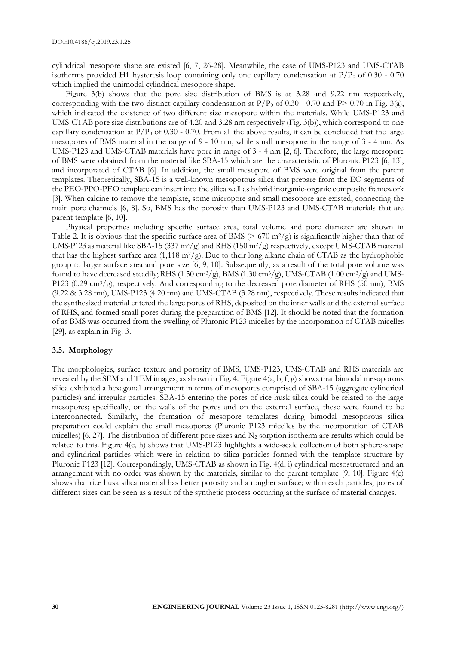cylindrical mesopore shape are existed [6, 7, 26-28]. Meanwhile, the case of UMS-P123 and UMS-CTAB isotherms provided H1 hysteresis loop containing only one capillary condensation at  $P/P_0$  of 0.30 - 0.70 which implied the unimodal cylindrical mesopore shape.

Figure 3(b) shows that the pore size distribution of BMS is at 3.28 and 9.22 nm respectively, corresponding with the two-distinct capillary condensation at  $P/P_0$  of 0.30 - 0.70 and P> 0.70 in Fig. 3(a), which indicated the existence of two different size mesopore within the materials. While UMS-P123 and UMS-CTAB pore size distributions are of 4.20 and 3.28 nm respectively (Fig. 3(b)), which correspond to one capillary condensation at  $P/P_0$  of 0.30 - 0.70. From all the above results, it can be concluded that the large mesopores of BMS material in the range of 9 - 10 nm, while small mesopore in the range of 3 - 4 nm. As UMS-P123 and UMS-CTAB materials have pore in range of 3 - 4 nm [2, 6]. Therefore, the large mesopore of BMS were obtained from the material like SBA-15 which are the characteristic of Pluronic P123 [6, 13], and incorporated of CTAB [6]. In addition, the small mesopore of BMS were original from the parent templates. Theoretically, SBA-15 is a well-known mesoporous silica that prepare from the EO segments of the PEO-PPO-PEO template can insert into the silica wall as hybrid inorganic-organic composite framework [3]. When calcine to remove the template, some micropore and small mesopore are existed, connecting the main pore channels [6, 8]. So, BMS has the porosity than UMS-P123 and UMS-CTAB materials that are parent template [6, 10].

Physical properties including specific surface area, total volume and pore diameter are shown in Table 2. It is obvious that the specific surface area of BMS ( $> 670$  m<sup>2</sup>/g) is significantly higher than that of UMS-P123 as material like SBA-15 (337 m<sup>2</sup>/g) and RHS (150 m<sup>2</sup>/g) respectively, except UMS-CTAB material that has the highest surface area (1,118 m<sup>2</sup>/g). Due to their long alkane chain of CTAB as the hydrophobic group to larger surface area and pore size [6, 9, 10]. Subsequently, as a result of the total pore volume was found to have decreased steadily; RHS (1.50 cm<sup>3</sup>/g), BMS (1.30 cm<sup>3</sup>/g), UMS-CTAB (1.00 cm<sup>3</sup>/g) and UMS-P123 (0.29 cm<sup>3</sup>/g), respectively. And corresponding to the decreased pore diameter of RHS (50 nm), BMS (9.22 & 3.28 nm), UMS-P123 (4.20 nm) and UMS-CTAB (3.28 nm), respectively. These results indicated that the synthesized material entered the large pores of RHS, deposited on the inner walls and the external surface of RHS, and formed small pores during the preparation of BMS [12]. It should be noted that the formation of as BMS was occurred from the swelling of Pluronic P123 micelles by the incorporation of CTAB micelles [29], as explain in Fig. 3.

#### **3.5. Morphology**

The morphologies, surface texture and porosity of BMS, UMS-P123, UMS-CTAB and RHS materials are revealed by the SEM and TEM images, as shown in Fig. 4. Figure 4(a, b, f, g) shows that bimodal mesoporous silica exhibited a hexagonal arrangement in terms of mesopores comprised of SBA-15 (aggregate cylindrical particles) and irregular particles. SBA-15 entering the pores of rice husk silica could be related to the large mesopores; specifically, on the walls of the pores and on the external surface, these were found to be interconnected. Similarly, the formation of mesopore templates during bimodal mesoporous silica preparation could explain the small mesopores (Pluronic P123 micelles by the incorporation of CTAB micelles) [6, 27]. The distribution of different pore sizes and  $N_2$  sorption isotherm are results which could be related to this. Figure 4(c, h) shows that UMS-P123 highlights a wide-scale collection of both sphere-shape and cylindrical particles which were in relation to silica particles formed with the template structure by Pluronic P123 [12]. Correspondingly, UMS-CTAB as shown in Fig. 4(d, i) cylindrical mesostructured and an arrangement with no order was shown by the materials, similar to the parent template [9, 10]. Figure 4(e) shows that rice husk silica material has better porosity and a rougher surface; within each particles, pores of different sizes can be seen as a result of the synthetic process occurring at the surface of material changes.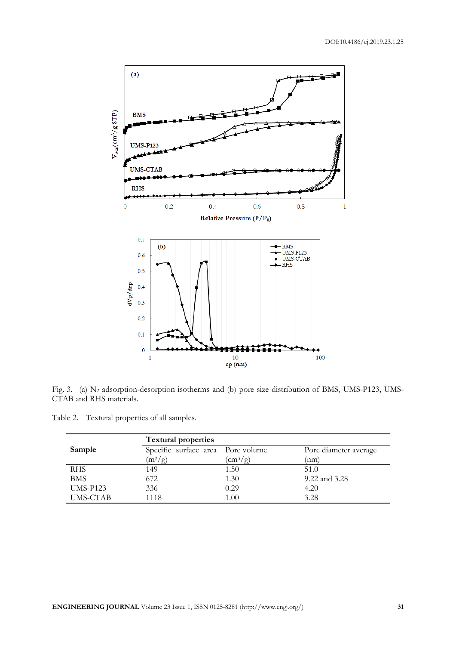

Fig. 3. (a) N<sup>2</sup> adsorption-desorption isotherms and (b) pore size distribution of BMS, UMS-P123, UMS-CTAB and RHS materials.

Table 2. Textural properties of all samples.

|                 | <b>Textural properties</b>        |                             |                       |  |  |
|-----------------|-----------------------------------|-----------------------------|-----------------------|--|--|
| Sample          | Specific surface area Pore volume |                             | Pore diameter average |  |  |
|                 | $(m^2/g)$                         | $\rm \langle cm^3/g\rangle$ | (nm)                  |  |  |
| <b>RHS</b>      | 149                               | 1.50                        | 51.0                  |  |  |
| BMS             | 672                               | 1.30                        | 9.22 and 3.28         |  |  |
| <b>UMS-P123</b> | 336                               | 0.29                        | 4.20                  |  |  |
| <b>UMS-CTAB</b> | 1118                              | 1.00                        | 3.28                  |  |  |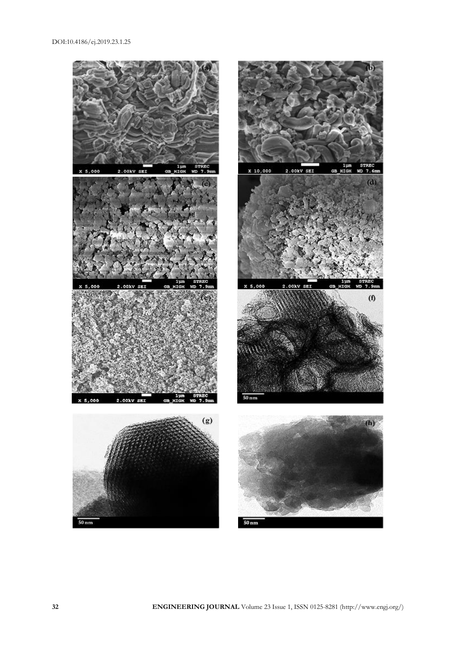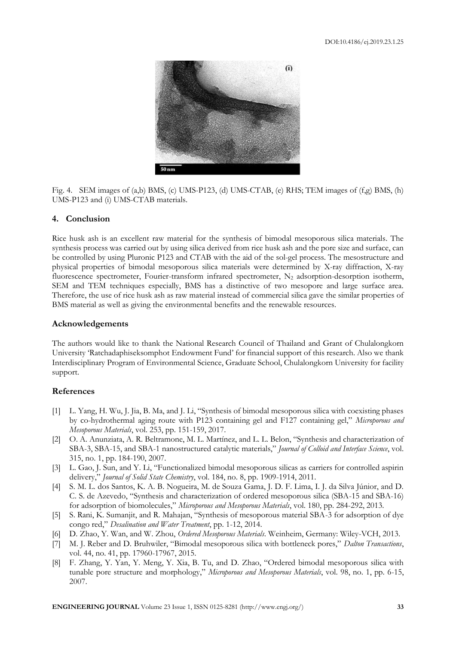

Fig. 4. SEM images of (a,b) BMS, (c) UMS-P123, (d) UMS-CTAB, (e) RHS; TEM images of (f,g) BMS, (h) UMS-P123 and (i) UMS-CTAB materials.

## **4. Conclusion**

Rice husk ash is an excellent raw material for the synthesis of bimodal mesoporous silica materials. The synthesis process was carried out by using silica derived from rice husk ash and the pore size and surface, can be controlled by using Pluronic P123 and CTAB with the aid of the sol-gel process. The mesostructure and physical properties of bimodal mesoporous silica materials were determined by X-ray diffraction, X-ray fluorescence spectrometer, Fourier-transform infrared spectrometer, N<sub>2</sub> adsorption-desorption isotherm, SEM and TEM techniques especially, BMS has a distinctive of two mesopore and large surface area. Therefore, the use of rice husk ash as raw material instead of commercial silica gave the similar properties of BMS material as well as giving the environmental benefits and the renewable resources.

## **Acknowledgements**

The authors would like to thank the National Research Council of Thailand and Grant of Chulalongkorn University 'Ratchadaphiseksomphot Endowment Fund' for financial support of this research. Also we thank Interdisciplinary Program of Environmental Science, Graduate School, Chulalongkorn University for facility support.

## **References**

- [1] L. Yang, H. Wu, J. Jia, B. Ma, and J. Li, "Synthesis of bimodal mesoporous silica with coexisting phases by co-hydrothermal aging route with P123 containing gel and F127 containing gel," *Microporous and Mesoporous Materials*, vol. 253, pp. 151-159, 2017.
- [2] O. A. Anunziata, A. R. Beltramone, M. L. Martínez, and L. L. Belon, "Synthesis and characterization of SBA-3, SBA-15, and SBA-1 nanostructured catalytic materials," *Journal of Colloid and Interface Science*, vol. 315, no. 1, pp. 184-190, 2007.
- [3] L. Gao, J. Sun, and Y. Li, "Functionalized bimodal mesoporous silicas as carriers for controlled aspirin delivery," *Journal of Solid State Chemistry*, vol. 184, no. 8, pp. 1909-1914, 2011.
- [4] S. M. L. dos Santos, K. A. B. Nogueira, M. de Souza Gama, J. D. F. Lima, I. J. da Silva Júnior, and D. C. S. de Azevedo, "Synthesis and characterization of ordered mesoporous silica (SBA-15 and SBA-16) for adsorption of biomolecules," *Microporous and Mesoporous Materials*, vol. 180, pp. 284-292, 2013.
- [5] S. Rani, K. Sumanjit, and R. Mahajan, "Synthesis of mesoporous material SBA-3 for adsorption of dye congo red," *Desalination and Water Treatment*, pp. 1-12, 2014.
- [6] D. Zhao, Y. Wan, and W. Zhou, *Ordered Mesoporous Materials*. Weinheim, Germany: Wiley-VCH, 2013.
- [7] M. J. Reber and D. Bruhwiler, "Bimodal mesoporous silica with bottleneck pores," *Dalton Transactions*, vol. 44, no. 41, pp. 17960-17967, 2015.
- [8] F. Zhang, Y. Yan, Y. Meng, Y. Xia, B. Tu, and D. Zhao, "Ordered bimodal mesoporous silica with tunable pore structure and morphology," *Microporous and Mesoporous Materials*, vol. 98, no. 1, pp. 6-15, 2007.